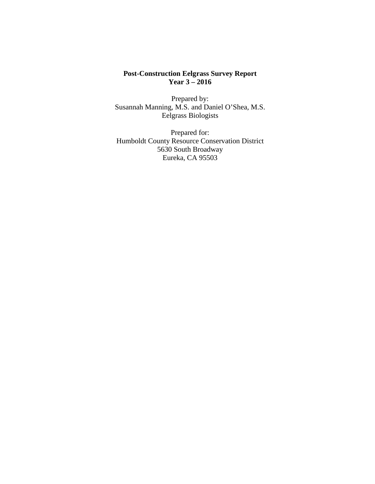### **Post-Construction Eelgrass Survey Report Year 3 – 2016**

Prepared by: Susannah Manning, M.S. and Daniel O'Shea, M.S. Eelgrass Biologists

Prepared for: Humboldt County Resource Conservation District 5630 South Broadway Eureka, CA 95503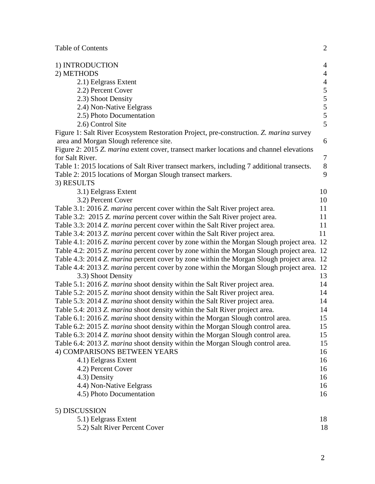Table of Contents 2

| 1) INTRODUCTION                                                                                  | $\overline{4}$ |
|--------------------------------------------------------------------------------------------------|----------------|
| 2) METHODS                                                                                       | $\overline{4}$ |
| 2.1) Eelgrass Extent                                                                             | $\overline{4}$ |
| 2.2) Percent Cover                                                                               |                |
| 2.3) Shoot Density                                                                               | $\frac{5}{5}$  |
| 2.4) Non-Native Eelgrass                                                                         |                |
| 2.5) Photo Documentation                                                                         | 5              |
| 2.6) Control Site                                                                                | 5              |
| Figure 1: Salt River Ecosystem Restoration Project, pre-construction. Z. marina survey           |                |
| area and Morgan Slough reference site.                                                           | 6              |
| Figure 2: 2015 Z. marina extent cover, transect marker locations and channel elevations          |                |
| for Salt River.                                                                                  | $\overline{7}$ |
| Table 1: 2015 locations of Salt River transect markers, including 7 additional transects.        | $8\,$          |
| Table 2: 2015 locations of Morgan Slough transect markers.                                       | 9              |
| 3) RESULTS                                                                                       |                |
| 3.1) Eelgrass Extent                                                                             | 10             |
| 3.2) Percent Cover                                                                               | 10             |
| Table 3.1: 2016 Z. <i>marina</i> percent cover within the Salt River project area.               | 11             |
| Table 3.2: 2015 Z. marina percent cover within the Salt River project area.                      | 11             |
| Table 3.3: 2014 Z. marina percent cover within the Salt River project area.                      | 11             |
| Table 3.4: 2013 Z. marina percent cover within the Salt River project area.                      | 11             |
| Table 4.1: 2016 Z. marina percent cover by zone within the Morgan Slough project area.           | 12             |
| Table 4.2: 2015 Z. marina percent cover by zone within the Morgan Slough project area. 12        |                |
| Table 4.3: 2014 Z. <i>marina</i> percent cover by zone within the Morgan Slough project area. 12 |                |
| Table 4.4: 2013 Z. marina percent cover by zone within the Morgan Slough project area. 12        |                |
| 3.3) Shoot Density                                                                               | 13             |
| Table 5.1: 2016 Z. marina shoot density within the Salt River project area.                      | 14             |
| Table 5.2: 2015 Z. marina shoot density within the Salt River project area.                      | 14             |
| Table 5.3: 2014 Z. <i>marina</i> shoot density within the Salt River project area.               | 14             |
| Table 5.4: 2013 Z. marina shoot density within the Salt River project area.                      | 14             |
| Table 6.1: 2016 Z. marina shoot density within the Morgan Slough control area.                   | 15             |
| Table 6.2: 2015 Z. marina shoot density within the Morgan Slough control area.                   | 15             |
| Table 6.3: 2014 Z. marina shoot density within the Morgan Slough control area.                   | 15             |
| Table 6.4: 2013 Z. marina shoot density within the Morgan Slough control area.                   | 15             |
| 4) COMPARISONS BETWEEN YEARS                                                                     | 16             |
| 4.1) Eelgrass Extent                                                                             | 16             |
| 4.2) Percent Cover                                                                               | 16             |
| 4.3) Density                                                                                     | 16             |
| 4.4) Non-Native Eelgrass                                                                         | 16             |
| 4.5) Photo Documentation                                                                         | 16             |
| 5) DISCUSSION                                                                                    |                |
| 5.1) Eelgrass Extent                                                                             | 18             |
| 5.2) Salt River Percent Cover                                                                    | 18             |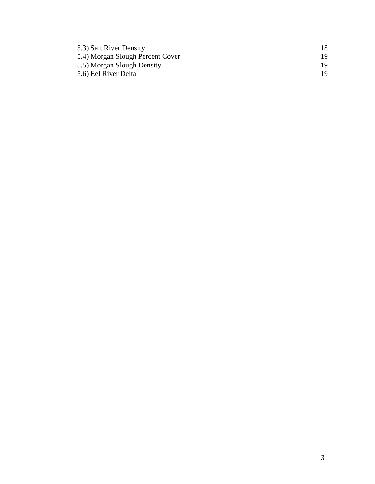| 5.3) Salt River Density          |     |
|----------------------------------|-----|
| 5.4) Morgan Slough Percent Cover |     |
| 5.5) Morgan Slough Density       | 19. |
| 5.6) Eel River Delta             | 19. |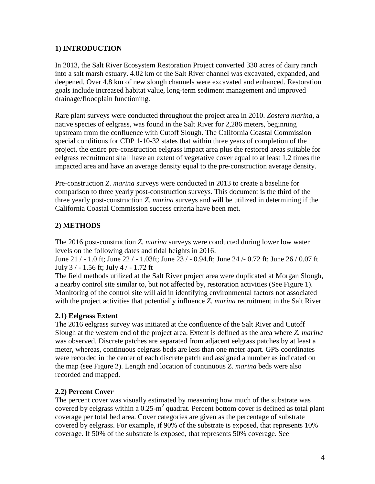# **1) INTRODUCTION**

In 2013, the Salt River Ecosystem Restoration Project converted 330 acres of dairy ranch into a salt marsh estuary. 4.02 km of the Salt River channel was excavated, expanded, and deepened. Over 4.8 km of new slough channels were excavated and enhanced. Restoration goals include increased habitat value, long-term sediment management and improved drainage/floodplain functioning.

Rare plant surveys were conducted throughout the project area in 2010. *Zostera marina*, a native species of eelgrass, was found in the Salt River for 2,286 meters, beginning upstream from the confluence with Cutoff Slough. The California Coastal Commission special conditions for CDP 1-10-32 states that within three years of completion of the project, the entire pre-construction eelgrass impact area plus the restored areas suitable for eelgrass recruitment shall have an extent of vegetative cover equal to at least 1.2 times the impacted area and have an average density equal to the pre-construction average density.

Pre-construction *Z. marina* surveys were conducted in 2013 to create a baseline for comparison to three yearly post-construction surveys. This document is the third of the three yearly post-construction *Z. marina* surveys and will be utilized in determining if the California Coastal Commission success criteria have been met.

# **2) METHODS**

The 2016 post-construction *Z. marina* surveys were conducted during lower low water levels on the following dates and tidal heights in 2016:

June 21 / - 1.0 ft; June 22 / - 1.03ft; June 23 / - 0.94.ft; June 24 /- 0.72 ft; June 26 / 0.07 ft July 3 / - 1.56 ft; July 4 / - 1.72 ft

The field methods utilized at the Salt River project area were duplicated at Morgan Slough, a nearby control site similar to, but not affected by, restoration activities (See Figure 1). Monitoring of the control site will aid in identifying environmental factors not associated with the project activities that potentially influence *Z. marina* recruitment in the Salt River.

### **2.1) Eelgrass Extent**

The 2016 eelgrass survey was initiated at the confluence of the Salt River and Cutoff Slough at the western end of the project area. Extent is defined as the area where *Z. marina* was observed. Discrete patches are separated from adjacent eelgrass patches by at least a meter, whereas, continuous eelgrass beds are less than one meter apart. GPS coordinates were recorded in the center of each discrete patch and assigned a number as indicated on the map (see Figure 2). Length and location of continuous *Z. marina* beds were also recorded and mapped.

# **2.2) Percent Cover**

The percent cover was visually estimated by measuring how much of the substrate was covered by eelgrass within a  $0.25 \text{ m}^2$  quadrat. Percent bottom cover is defined as total plant coverage per total bed area. Cover categories are given as the percentage of substrate covered by eelgrass. For example, if 90% of the substrate is exposed, that represents 10% coverage. If 50% of the substrate is exposed, that represents 50% coverage. See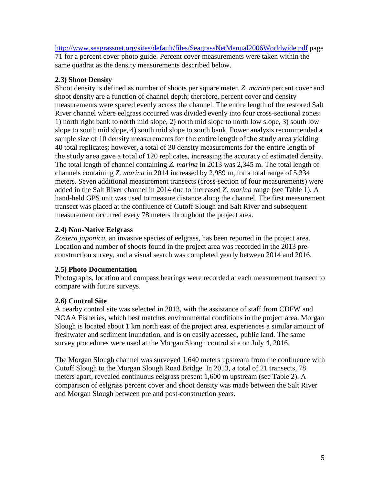<http://www.seagrassnet.org/sites/default/files/SeagrassNetManual2006Worldwide.pdf> page

71 for a percent cover photo guide. Percent cover measurements were taken within the same quadrat as the density measurements described below.

### **2.3) Shoot Density**

Shoot density is defined as number of shoots per square meter. *Z. marina* percent cover and shoot density are a function of channel depth; therefore, percent cover and density measurements were spaced evenly across the channel. The entire length of the restored Salt River channel where eelgrass occurred was divided evenly into four cross-sectional zones: 1) north right bank to north mid slope, 2) north mid slope to north low slope, 3) south low slope to south mid slope, 4) south mid slope to south bank. Power analysis recommended a sample size of 10 density measurements for the entire length of the study area yielding 40 total replicates; however, a total of 30 density measurements for the entire length of the study area gave a total of 120 replicates, increasing the accuracy of estimated density. The total length of channel containing *Z. marina* in 2013 was 2,345 m. The total length of channels containing *Z. marina* in 2014 increased by 2,989 m, for a total range of 5,334 meters. Seven additional measurement transects (cross-section of four measurements) were added in the Salt River channel in 2014 due to increased *Z. marina* range (see Table 1). A hand-held GPS unit was used to measure distance along the channel. The first measurement transect was placed at the confluence of Cutoff Slough and Salt River and subsequent measurement occurred every 78 meters throughout the project area.

# **2.4) Non-Native Eelgrass**

*Zostera japonica*, an invasive species of eelgrass, has been reported in the project area. Location and number of shoots found in the project area was recorded in the 2013 preconstruction survey, and a visual search was completed yearly between 2014 and 2016.

# **2.5) Photo Documentation**

Photographs, location and compass bearings were recorded at each measurement transect to compare with future surveys.

# **2.6) Control Site**

A nearby control site was selected in 2013, with the assistance of staff from CDFW and NOAA Fisheries, which best matches environmental conditions in the project area. Morgan Slough is located about 1 km north east of the project area, experiences a similar amount of freshwater and sediment inundation, and is on easily accessed, public land. The same survey procedures were used at the Morgan Slough control site on July 4, 2016.

The Morgan Slough channel was surveyed 1,640 meters upstream from the confluence with Cutoff Slough to the Morgan Slough Road Bridge. In 2013, a total of 21 transects, 78 meters apart, revealed continuous eelgrass present 1,600 m upstream (see Table 2). A comparison of eelgrass percent cover and shoot density was made between the Salt River and Morgan Slough between pre and post-construction years.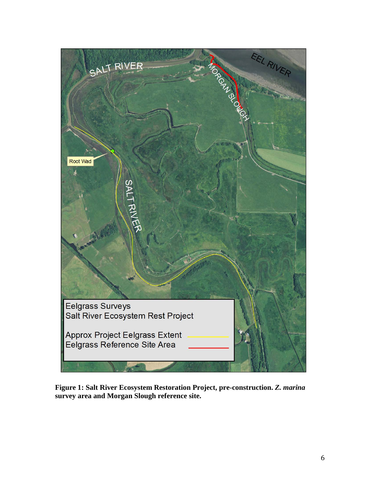

**Figure 1: Salt River Ecosystem Restoration Project, pre-construction.** *Z. marina* **survey area and Morgan Slough reference site.**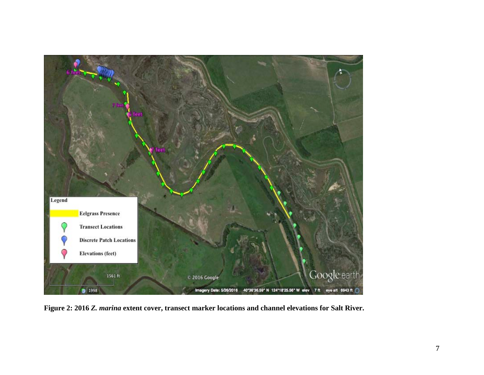

**Figure 2: 2016** *Z. marina* **extent cover, transect marker locations and channel elevations for Salt River.**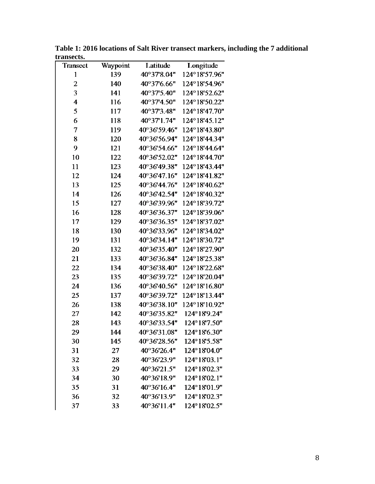| Transect     | Waypoint | Latitude                      | Longitude     |
|--------------|----------|-------------------------------|---------------|
| $\mathbf{1}$ | 139      | 40°37'8.04"                   | 124°18'57.96" |
| 2            | 140      | 40°37'6.66"                   | 124°18'54.96" |
| 3            | 141      | 40°37'5.40"                   | 124°18'52.62" |
| 4            | 116      | 40°37'4.50"                   | 124°18'50.22" |
| 5            | 117      | $40^{\circ}37^{\prime}3.48$ " | 124°18'47.70" |
| 6            | 118      | 40°37'1.74"                   | 124°18'45.12" |
| 7            | 119      | 40°36'59.46"                  | 124°18'43.80" |
| 8            | 120      | 40°36'56.94"                  | 124°18'44.34" |
| 9            | 121      | 40°36'54.66"                  | 124°18'44.64" |
| 10           | 122      | 40°36'52.02"                  | 124°18'44.70" |
| 11           | 123      | 40°36'49.38"                  | 124°18'43.44" |
| 12           | 124      | 40°36'47.16"                  | 124°18'41.82" |
| 13           | 125      | 40°36'44.76"                  | 124°18'40.62" |
| 14           | 126      | 40°36'42.54"                  | 124°18'40.32" |
| 15           | 127      | 40°36'39.96"                  | 124°18'39.72" |
| 16           | 128      | 40°36'36.37"                  | 124°18'39.06" |
| 17           | 129      | 40°36'36.35"                  | 124°18'37.02" |
| 18           | 130      | 40°36'33.96"                  | 124°18'34.02" |
| 19           | 131      | 40°36'34.14"                  | 124°18'30.72" |
| 20           | 132      | 40°36'35.40"                  | 124°18'27.90" |
| 21           | 133      | 40°36'36.84"                  | 124°18'25.38" |
| 22           | 134      | 40°36'38.40"                  | 124°18'22.68" |
| 23           | 135      | 40°36'39.72"                  | 124°18'20.04" |
| 24           | 136      | 40°36'40.56"                  | 124°18'16.80" |
| 25           | 137      | 40°36'39.72"                  | 124°18'13.44" |
| 26           | 138      | 40°36'38.10"                  | 124°18'10.92" |
| 27           | 142      | 40°36'35.82"                  | 124°18'9.24"  |
| 28           | 143      | 40°36'33.54"                  | 124°18'7.50"  |
| 29           | 144      | 40°36'31.08"                  | 124°18'6.30"  |
| 30           | 145      | 40°36'28.56"                  | 124°18'5.58"  |
| 31           | 27       | 40°36'26.4"                   | 124°18'04.0"  |
| 32           | 28       | 40°36'23.9"                   | 124°18'03.1"  |
| 33           | 29       | 40°36'21.5"                   | 124°18'02.3"  |
| 34           | 30       | 40°36'18.9"                   | 124°18'02.1"  |
| 35           | 31       | 40°36'16.4"                   | 124°18'01.9"  |
| 36           | 32       | 40°36'13.9"                   | 124°18'02.3"  |
| 37           | 33       | 40°36'11.4"                   | 124°18'02.5"  |

**Table 1: 2016 locations of Salt River transect markers, including the 7 additional transects.**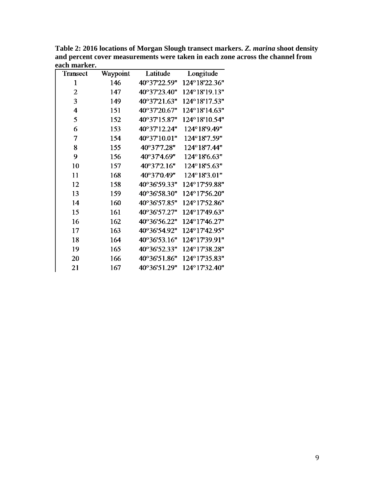| Transect       | Waypoint | Latitude     | Longitude     |
|----------------|----------|--------------|---------------|
| $\mathbf{1}$   | 146      | 40°37'22.59" | 124°18'22.36" |
| $\overline{2}$ | 147      | 40°37'23.40" | 124°18'19.13" |
| 3              | 149      | 40°37'21.63" | 124°18'17.53" |
| 4              | 151      | 40°37'20.67" | 124°18'14.63" |
| 5              | 152      | 40°37'15.87" | 124°18'10.54" |
| 6              | 153      | 40°37'12.24" | 124°18'9.49"  |
| 7              | 154      | 40°37'10.01" | 124°18'7.59"  |
| 8              | 155      | 40°377.28"   | 124°18'7.44"  |
| 9              | 156      | 40°374.69"   | 124°18'6.63"  |
| 10             | 157      | 40°372.16"   | 124°18'5.63"  |
| 11             | 168      | 40°370.49"   | 124°18'3.01"  |
| 12             | 158      | 40°36'59.33" | 124°17'59.88" |
| 13             | 159      | 40°36'58.30" | 124°17'56.20" |
| 14             | 160      | 40°36'57.85" | 124°17'52.86" |
| 15             | 161      | 40°36'57.27" | 124°17'49.63" |
| 16             | 162      | 40°36'56.22" | 124°17'46.27" |
| 17             | 163      | 40°36'54.92" | 124°17'42.95" |
| 18             | 164      | 40°36'53.16" | 124°17'39.91" |
| 19             | 165      | 40°36'52.33" | 124°17'38.28" |
| 20             | 166      | 40°36'51.86" | 124°17'35.83" |
| 21             | 167      | 40°36'51.29" | 124°17'32.40" |

**Table 2: 2016 locations of Morgan Slough transect markers.** *Z. marina* **shoot density and percent cover measurements were taken in each zone across the channel from each marker.**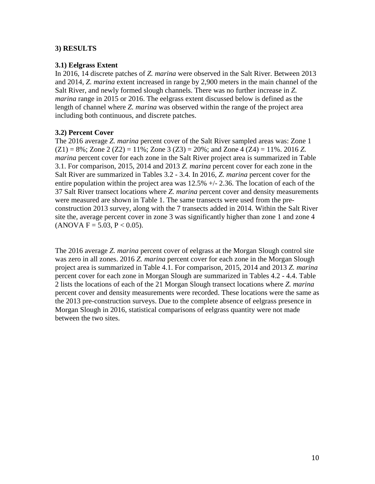### **3) RESULTS**

#### **3.1) Eelgrass Extent**

In 2016, 14 discrete patches of *Z. marina* were observed in the Salt River. Between 2013 and 2014, *Z. marina* extent increased in range by 2,900 meters in the main channel of the Salt River, and newly formed slough channels. There was no further increase in *Z. marina* range in 2015 or 2016. The eelgrass extent discussed below is defined as the length of channel where *Z. marina* was observed within the range of the project area including both continuous, and discrete patches.

### **3.2) Percent Cover**

The 2016 average *Z. marina* percent cover of the Salt River sampled areas was: Zone 1  $(Z1) = 8\%$ ; Zone 2  $(Z2) = 11\%$ ; Zone 3  $(Z3) = 20\%$ ; and Zone 4  $(Z4) = 11\%$ . 2016 *Z*. *marina* percent cover for each zone in the Salt River project area is summarized in Table 3.1. For comparison, 2015, 2014 and 2013 *Z. marina* percent cover for each zone in the Salt River are summarized in Tables 3.2 - 3.4. In 2016, *Z. marina* percent cover for the entire population within the project area was  $12.5\% +1.2.36$ . The location of each of the 37 Salt River transect locations where *Z. marina* percent cover and density measurements were measured are shown in Table 1. The same transects were used from the preconstruction 2013 survey, along with the 7 transects added in 2014. Within the Salt River site the, average percent cover in zone 3 was significantly higher than zone 1 and zone 4  $(ANOVA F = 5.03, P < 0.05).$ 

The 2016 average *Z. marina* percent cover of eelgrass at the Morgan Slough control site was zero in all zones. 2016 *Z. marina* percent cover for each zone in the Morgan Slough project area is summarized in Table 4.1. For comparison, 2015, 2014 and 2013 *Z. marina*  percent cover for each zone in Morgan Slough are summarized in Tables 4.2 - 4.4. Table 2 lists the locations of each of the 21 Morgan Slough transect locations where *Z. marina*  percent cover and density measurements were recorded. These locations were the same as the 2013 pre-construction surveys. Due to the complete absence of eelgrass presence in Morgan Slough in 2016, statistical comparisons of eelgrass quantity were not made between the two sites.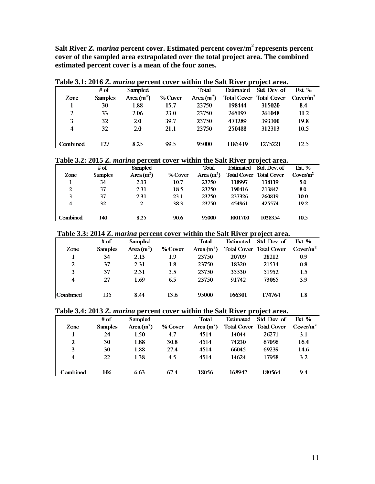**Salt River** *Z. marina* **percent cover. Estimated percent cover/m2 represents percent cover of the sampled area extrapolated over the total project area. The combined estimated percent cover is a mean of the four zones.**

| Table 3.1: 2016 Z. <i>marina</i> percent cover within the Salt River project area. |                |             |             |              |         |                                              |       |  |  |
|------------------------------------------------------------------------------------|----------------|-------------|-------------|--------------|---------|----------------------------------------------|-------|--|--|
|                                                                                    | # of           | Sampled     |             | Total        |         | Estimated Std Dev. of                        | Est % |  |  |
| Zone                                                                               | <b>Samples</b> | Area $(m2)$ | % Cover     | Area $(m^2)$ |         | Total Cover Total Cover Cover/m <sup>2</sup> |       |  |  |
|                                                                                    | 30             | 1.88        | 15.7        | 23750        | 198444  | 315020                                       | 8.4   |  |  |
| 2                                                                                  | 33             | 2.06        | <b>23.0</b> | 23750        | 265197  | 261048                                       | 11.2  |  |  |
| 3                                                                                  | 32             | 2.0         | 39.7        | 23750        | 471289  | 393300                                       | 19.8  |  |  |
| 4                                                                                  | 32             | 20          | 21.1        | 23750        | 250488  | 312313                                       | 10.5  |  |  |
|                                                                                    |                |             |             |              |         |                                              |       |  |  |
| Combined                                                                           | 127            | 8.25        | -99.5       | 95000        | 1185419 | 1275221                                      | 12.5  |  |  |

#### **Table 3.1: 2016** *Z. marina* **percent cover within the Salt River project area.**

#### **Table 3.2: 2015** *Z. marina* **percent cover within the Salt River project area.**

|          |                |              |         |              |           | $\cdot$                        |               |
|----------|----------------|--------------|---------|--------------|-----------|--------------------------------|---------------|
|          | # of           | Sampled      |         | Total        | Estimated | Std. Dev. of                   | <b>Est.</b> % |
| Zone     | <b>Samples</b> | Area $(m^2)$ | % Cover | Area $(m^2)$ |           | <b>Total Cover Total Cover</b> | $Cover/m^2$   |
|          | 34             | 2.13         | 10.7    | 23750        | 118997    | 138119                         | 5.0           |
| 2        | 37             | 2.31         | 18.5    | 23750        | 190416    | 213842                         | 8.0           |
| 3        | 37             | 2.31         | 23.1    | 23750        | 237326    | 260819                         | 10.0          |
| 4        | 32             | 2            | 38.3    | 23750        | 454961    | 425574                         | 19.2          |
| Combined | 140            | 8.25         | 90.6    | 95000        | 1001700   | 1038354                        | 10.5          |

#### **Table 3.3: 2014** *Z***.** *marina* **percent cover within the Salt River project area.**

|          | # of           | Sampled      |           | Total |        | Estimated Std. Dev. of                                    | Est. % |
|----------|----------------|--------------|-----------|-------|--------|-----------------------------------------------------------|--------|
| Zone     | <b>Samples</b> | Area $(m^2)$ | $%$ Cover |       |        | Area $(m^2)$ Total Cover Total Cover Cover/m <sup>2</sup> |        |
|          | 34             | 2.13         | 1.9       | 23750 | 20709  | 28212                                                     | 0.9    |
| 2        | 37             | 2.31         | 1.8       | 23750 | 18320  | 21534                                                     | 0.8    |
| 3        | 37             | 2.31         | 3.5       | 23750 | 35530  | 51952                                                     | 1.5    |
| 4        | 27             | 1.69         | 6.5       | 23750 | 91742  | 73065                                                     | 3.9    |
|          |                |              |           |       |        |                                                           |        |
| Combined | 135            | 8.44         | 13.6      | 95000 | 166301 | 174764                                                    | 1.8    |

#### **Table 3.4: 2013** *Z. marina* **percent cover within the Salt River project area.**

|          | Table 9.4. 2019 Z. Martha percent cover within the Sait Kiver project area. |              |         |              |        |                                              |        |  |
|----------|-----------------------------------------------------------------------------|--------------|---------|--------------|--------|----------------------------------------------|--------|--|
|          | # of                                                                        | Sampled      |         | Total        |        | Estimated Std. Dev. of                       | Fst. % |  |
| Zone     | <b>Samples</b>                                                              | Area $(m^2)$ | % Cover | Area $(m^2)$ |        | Total Cover Total Cover Cover/m <sup>2</sup> |        |  |
|          | 24                                                                          | 1.50         | 4.7     | 4514         | 14044  | 26271                                        | 3.1    |  |
| 2        | 30                                                                          | 1.88         | 30.8    | 4514         | 74230  | 67096                                        | 16.4   |  |
| 3        | 30                                                                          | 1.88         | 27.4    | 4514         | 66045  | 69239                                        | 14.6   |  |
| 4        | -22.                                                                        | 1.38         | 45      | 4514         | 14624  | 17958                                        | 3.2    |  |
| Combined | 106                                                                         | 6.63         | 67.4    | 18056        | 168942 | 180564                                       | 9.4    |  |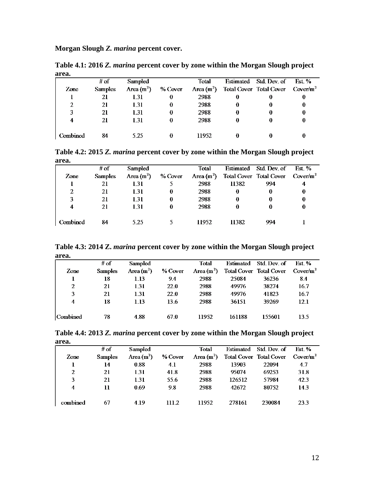**Morgan Slough** *Z. marina* **percent cover.**

| area.          |                |              |        |                                                                   |  |
|----------------|----------------|--------------|--------|-------------------------------------------------------------------|--|
|                | # of           | Sampled      | Total  | Estimated Std Dev of Est. %                                       |  |
| Zone           | <b>Samples</b> | Area $(m^2)$ |        | % Cover Area $(m^2)$ Total Cover Total Cover Cover/m <sup>2</sup> |  |
|                | 21             | 1.31         | 2988   |                                                                   |  |
| $\mathfrak{D}$ | 21             | 1.31         | 2988   |                                                                   |  |
| 3              | 21             | 1.31         | 2988   |                                                                   |  |
| 4              | 21             | 1.31         | 2988   |                                                                   |  |
|                |                |              |        |                                                                   |  |
| Combined       | 84             | 5.25         | 11952. |                                                                   |  |

**Table 4.1: 2016** *Z. marina* **percent cover by zone within the Morgan Slough project area.**

**Table 4.2: 2015** *Z. marina* **percent cover by zone within the Morgan Slough project area.**

|          | # of           | Sampled      |         | Total  |          | Estimated Std Dev. of Est. %                              |   |
|----------|----------------|--------------|---------|--------|----------|-----------------------------------------------------------|---|
| Zone     | <b>Samples</b> | Area $(m^2)$ | % Cover |        |          | Area $(m^2)$ Total Cover Total Cover Cover/m <sup>2</sup> |   |
|          | 21             | 131          |         | 2988   | 11382    | -994                                                      | 4 |
| 2        | 21             | 1.31         | 0       | 2988   | $\bf{0}$ |                                                           | 0 |
| 3        | 21             | 1.31         | 0       | 2988   | 0        |                                                           |   |
| 4        | 21             | 131          | 0       | 2988   | 0        |                                                           |   |
| Combined | 84             | 5.25         |         | 11952. | 11382    | 994                                                       |   |
|          |                |              |         |        |          |                                                           |   |

**Table 4.3: 2014 Z.** *marina* **percent cover by zone within the Morgan Slough project area.**

| ul vui   |                |                |             |             |        |                                              |        |
|----------|----------------|----------------|-------------|-------------|--------|----------------------------------------------|--------|
|          | # of           | <b>Sampled</b> |             | Total       |        | Estimated Std. Dev. of                       | Est. % |
| Zone     | <b>Samples</b> | Area $(m^2)$   | $%$ Cover   | Area $(m2)$ |        | Total Cover Total Cover Cover/m <sup>2</sup> |        |
|          | 18             | 1.13           | 9.4         | 2988        | 25084  | 36236                                        | 8.4    |
| 2        | 21             | 1.31           | <b>22.0</b> | 2988        | 49976  | 38274                                        | 16.7   |
| 3        | 21             | 1.31           | 22.0        | 2988        | 49976  | 41823                                        | 16.7   |
| 4        | 18             | 1.13           | 13.6        | 2988        | 36151  | 39269                                        | 12.1   |
| Combined | 78             | 4.88           | 67.0        | 11952       | 161188 | 155601                                       | 13.5   |

| Table 4.4: 2013 Z. marina percent cover by zone within the Morgan Slough project |  |  |
|----------------------------------------------------------------------------------|--|--|
| area.                                                                            |  |  |

| .        |                |              |         |              |        |                         |             |
|----------|----------------|--------------|---------|--------------|--------|-------------------------|-------------|
|          | # of           | Sampled      |         | Total        |        | Estimated Std. Dev. of  | Fst. %      |
| Zone     | <b>Samples</b> | Area $(m^2)$ | % Cover | Area $(m^2)$ |        | Total Cover Total Cover | $Cover/m^2$ |
|          | 14             | 0.88         | 4.1     | 2988         | 13903  | 22094                   | 4.7         |
| 2        | 21             | 1.31         | 41.8    | 2988         | 95074  | 69253                   | 31.8        |
| 3        | 21             | 1.31         | 55.6    | 2988         | 126512 | 57984                   | 42.3        |
| 4        | 11             | 0.69         | 98      | 2988         | 42672  | 80752                   | 143         |
| combined | 67             | 4.19         | 111.2   | 11952        | 278161 | 230084                  | 23.3        |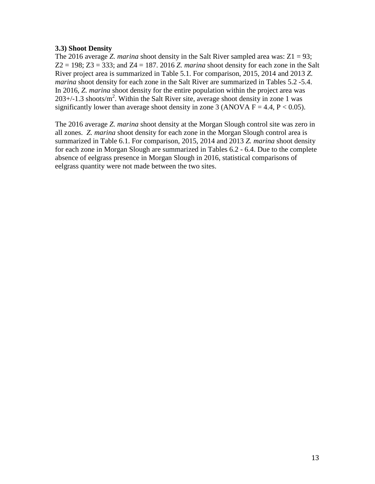### **3.3) Shoot Density**

The 2016 average *Z. marina* shoot density in the Salt River sampled area was: Z1 = 93; Z2 = 198; Z3 = 333; and Z4 = 187. 2016 *Z. marina* shoot density for each zone in the Salt River project area is summarized in Table 5.1. For comparison, 2015, 2014 and 2013 *Z. marina* shoot density for each zone in the Salt River are summarized in Tables 5.2 -5.4. In 2016, *Z. marina* shoot density for the entire population within the project area was  $203+/-1.3$  shoots/m<sup>2</sup>. Within the Salt River site, average shoot density in zone 1 was significantly lower than average shoot density in zone 3 (ANOVA  $F = 4.4$ ,  $P < 0.05$ ).

The 2016 average *Z. marina* shoot density at the Morgan Slough control site was zero in all zones. *Z. marina* shoot density for each zone in the Morgan Slough control area is summarized in Table 6.1. For comparison, 2015, 2014 and 2013 *Z. marina* shoot density for each zone in Morgan Slough are summarized in Tables 6.2 - 6.4. Due to the complete absence of eelgrass presence in Morgan Slough in 2016, statistical comparisons of eelgrass quantity were not made between the two sites.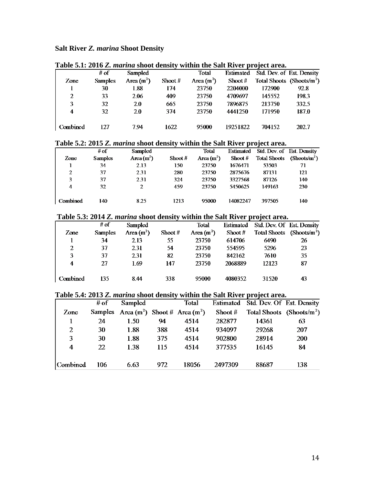# **Salt River** *Z. marina* **Shoot Density**

| Table 5.1. 2010 Z. <i>marma</i> shoot achsity whill the ball Kryer project area. |                |                |           |             |                              |                                  |       |  |  |  |
|----------------------------------------------------------------------------------|----------------|----------------|-----------|-------------|------------------------------|----------------------------------|-------|--|--|--|
|                                                                                  | # of           | <b>Sampled</b> |           | Total       |                              | Estimated Std Dev of Est Density |       |  |  |  |
| Zone                                                                             | <b>Samples</b> | Area $(m^2)$   | Shoot $#$ | Area $(m2)$ | $\mathop{\mathrm{Showot}}$ # | Total Shoots (Shoots/ $m^2$ )    |       |  |  |  |
|                                                                                  | 30             | 1.88           | 174       | 23750       | 2204000                      | 172900                           | 92.8  |  |  |  |
| 2                                                                                | 33             | 2.06           | 409       | 23750       | 4709697                      | 145552                           | 198.3 |  |  |  |
| 3                                                                                | 32             | 2.0            | 665       | 23750       | 7896875                      | 213750                           | 332.5 |  |  |  |
| 4                                                                                | 32             | 20             | 374       | 23750       | 4441250                      | 171950                           | 187.0 |  |  |  |
|                                                                                  |                |                |           |             |                              |                                  |       |  |  |  |
| Combined                                                                         | 127            | 7.94           | 1622      | 95000       | 19251822                     | 704152                           | 202.7 |  |  |  |

### **Table 5.1: 2016** *Z. marina* **shoot density within the Salt River project area.**

### **Table 5.2: 2015** *Z. marina* **shoot density within the Salt River project area.**

|          | # of           | Sampled      |           | Total        | <b>Estimated</b> | Std. Dev. of Est. Density |                                 |
|----------|----------------|--------------|-----------|--------------|------------------|---------------------------|---------------------------------|
| Zone     | <b>Samples</b> | Area $(m^2)$ | Shoot $#$ | Area $(m^2)$ | Shoot $#$        | <b>Total Shoots</b>       | ( <b>Shorts/m<sup>2</sup></b> ) |
|          | 34             | 2.13         | 150       | 23750        | 1676471          | 53503                     | 71                              |
| 2        | 37             | 2.31         | 280       | 23750        | 2875676          | 87131                     | 121                             |
| 3        | 37             | 2.31         | 324       | 23750        | 3327568          | 87126                     | 140                             |
| 4        | 32             | 2            | 459       | 23750        | 5450625          | 149163                    | 230                             |
| Combined | 140.           | 8.25         | 1213      | 95000        | 14082247         | 397505                    | 140                             |

### **Table 5.3: 2014** *Z. marina* **shoot density within the Salt River project area.**

|          |                |              | $\cdot$   |              |           |                                       |    |
|----------|----------------|--------------|-----------|--------------|-----------|---------------------------------------|----|
|          | # of           | Sampled      |           | <b>Total</b> |           | Estimated Std Dev Of Est Density      |    |
| Zone     | <b>Samples</b> | Area $(m^2)$ | Shoot $#$ | Area $(m^2)$ | Shoot $#$ | Total Shoots (Shoots/m <sup>2</sup> ) |    |
|          | 34             | 2.13         | 55        | 23750        | 614706    | 6490                                  | 26 |
| 2        | 37             | 2.31         | -54       | 23750        | 554595    | 5296                                  | 23 |
| 3        | 37             | 2.31         | 82        | 23750        | 842162    | 7610                                  | 35 |
| 4        | 27             | 1.69         | 147       | 23750        | 2068889   | 12123                                 | 87 |
| Combined | 135            | 8.44         | 338       | 95000        | 4080352   | 31520                                 | 43 |

#### **Table 5.4: 2013** *Z. marina* **shoot density within the Salt River project area.**

|                  | # of | Sampled                                   |     | <b>Total</b> |           | Estimated Std. Dev. Of Est. Density |            |
|------------------|------|-------------------------------------------|-----|--------------|-----------|-------------------------------------|------------|
| Zone             |      | Samples Area $(m^2)$ Shoot # Area $(m^2)$ |     |              | Shoot $#$ | Total Shoots $(Show/m2)$            |            |
| 1                | 24   | 1.50                                      | 94  | 4514         | 282877    | 14361                               | 63         |
| 2                | 30   | 1.88                                      | 388 | 4514         | 934097    | 29268                               | 207        |
| 3                | 30   | 1.88                                      | 375 | 4514         | 902800    | 28914                               | <b>200</b> |
| $\boldsymbol{4}$ | 22   | 1.38                                      | 115 | 4514         | 377535    | 16145                               | 84         |
| Combined         | 106. | 6.63                                      | 972 | 18056        | 2497309   | 88687                               | 138        |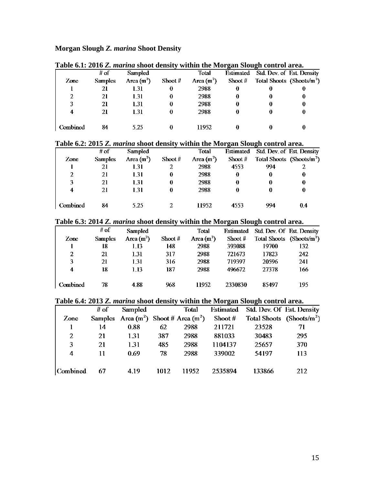# **Morgan Slough** *Z. marina* **Shoot Density**

| Table v.f. 2010 Z. <i>marma</i> shoot achsity within the wivigan sivagn control area. |                |                |           |              |           |                                  |   |  |  |  |  |
|---------------------------------------------------------------------------------------|----------------|----------------|-----------|--------------|-----------|----------------------------------|---|--|--|--|--|
|                                                                                       | # of           | <b>Sampled</b> |           | Total        |           | Estimated Std Dev of Est Density |   |  |  |  |  |
| Zone                                                                                  | <b>Samples</b> | Area $(m2)$    | Shoot $#$ | Area $(m^2)$ | Shoot $#$ | Total Shoots (Shoots/ $m^2$ )    |   |  |  |  |  |
|                                                                                       |                | 1.31           | 0         | 2988         |           |                                  | O |  |  |  |  |
| 2                                                                                     | 21             | 1.31           | 0         | 2988         |           |                                  | 0 |  |  |  |  |
|                                                                                       | 21             | 1.31           |           | 2988         |           |                                  | 0 |  |  |  |  |
| 4                                                                                     | 21             | 131            |           | 2988         |           |                                  | 0 |  |  |  |  |
|                                                                                       |                |                |           |              |           |                                  |   |  |  |  |  |
| Combined                                                                              | 84             | 5 25           |           | 11952        |           |                                  |   |  |  |  |  |

### **Table 6.1: 2016** *Z. marina* **shoot density within the Morgan Slough control area.**

### **Table 6.2: 2015** *Z. marina* **shoot density within the Morgan Slough control area.**

|          | # of           | Sampled     |           | Total        |           | Estimated Std Dev of Est Density |                               |
|----------|----------------|-------------|-----------|--------------|-----------|----------------------------------|-------------------------------|
| Zone     | <b>Samples</b> | Area $(m2)$ | Shoot $#$ | Area $(m^2)$ | Shoot $#$ |                                  | Total Shoots (Shoots/ $m^2$ ) |
|          | 21             | 1.31        |           | 2988         | 4553      | 994                              |                               |
| 2        | 21             | 1.31        | 0         | 2988         |           |                                  | 0                             |
| 3        | 21             | 131         | 0         | 2988         |           |                                  | 0                             |
| 4        | 21             | 131         | 0         | 2988         | 0         | 0                                | 0                             |
| Combined | 84             | 5.25        |           | 11952        | 4553      | 994                              | 0.4                           |
|          |                |             |           |              |           |                                  |                               |

#### **Table 6.3: 2014** *Z. marina* **shoot density within the Morgan Slough control area.**

|          | # of           | <b>Sampled</b> |           | Total        |           | Estimated Std Dev Of Est Density |                               |
|----------|----------------|----------------|-----------|--------------|-----------|----------------------------------|-------------------------------|
| Zone     | <b>Samples</b> | Area $(m^2)$   | Shoot $#$ | Area $(m^2)$ | Shoot $#$ |                                  | Total Shoots (Shoots/ $m^2$ ) |
|          | 18             | 1.13           | 148       | 2988         | 393088    | 19700                            | 132                           |
| 2        | 21             | 1.31           | 317       | 2988         | 721673    | 17823                            | 242                           |
| 3        | 21             | 1.31           | 316       | 2988         | 719397    | 20596                            | 241                           |
| 4        | 18             | 1 13           | 187       | 2988         | 496672    | 27378                            | 166                           |
|          |                |                |           |              |           |                                  |                               |
| Combined | 78             | 4.88           | 968       | 11952        | 2330830   | 85497                            | 195                           |

### **Table 6.4: 2013** *Z. marina* **shoot density within the Morgan Slough control area.**

|                 | # of | Sampled                                   |      | <b>Total</b> | Estimated | Std. Dev. Of Est. Density     |     |
|-----------------|------|-------------------------------------------|------|--------------|-----------|-------------------------------|-----|
| Zone            |      | Samples Area $(m^2)$ Shoot # Area $(m^2)$ |      |              | Shoot #   | Total Shoots (Shoots/ $m^2$ ) |     |
|                 | 14   | 0.88                                      | 62   | 2988         | 211721    | 23528                         | 71  |
| 2               | 21   | 1.31                                      | 387  | 2988         | 881033    | 30483                         | 295 |
| 3               | 21   | 1.31                                      | 485  | 2988         | 1104137   | 25657                         | 370 |
| 4               | 11   | 0.69                                      | 78   | 2988         | 339002    | 54197                         | 113 |
| <b>Combined</b> | 67   | 4.19                                      | 1012 | 11952        | 2535894   | 133866                        | 212 |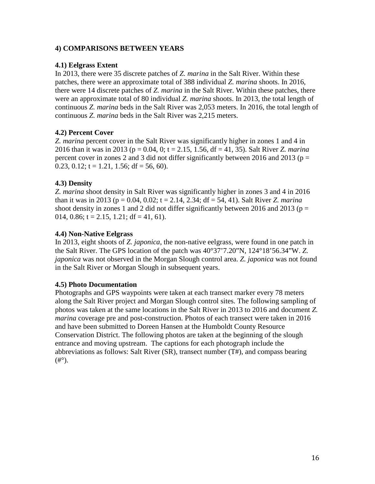### **4) COMPARISONS BETWEEN YEARS**

#### **4.1) Eelgrass Extent**

In 2013, there were 35 discrete patches of *Z. marina* in the Salt River. Within these patches, there were an approximate total of 388 individual *Z. marina* shoots. In 2016, there were 14 discrete patches of *Z. marina* in the Salt River. Within these patches, there were an approximate total of 80 individual *Z. marina* shoots. In 2013, the total length of continuous *Z. marina* beds in the Salt River was 2,053 meters. In 2016, the total length of continuous *Z. marina* beds in the Salt River was 2,215 meters.

### **4.2) Percent Cover**

*Z. marina* percent cover in the Salt River was significantly higher in zones 1 and 4 in 2016 than it was in 2013 (p = 0.04, 0; t = 2.15, 1.56, df = 41, 35). Salt River *Z. marina* percent cover in zones 2 and 3 did not differ significantly between 2016 and 2013 ( $p =$ 0.23, 0.12;  $t = 1.21$ , 1.56;  $df = 56$ , 60).

### **4.3) Density**

*Z. marina* shoot density in Salt River was significantly higher in zones 3 and 4 in 2016 than it was in 2013 ( $p = 0.04$ , 0.02;  $t = 2.14$ , 2.34; df = 54, 41). Salt River *Z. marina* shoot density in zones 1 and 2 did not differ significantly between 2016 and 2013 ( $p =$ 014, 0.86;  $t = 2.15$ , 1.21;  $df = 41$ , 61).

#### **4.4) Non-Native Eelgrass**

In 2013, eight shoots of *Z. japonica*, the non-native eelgrass, were found in one patch in the Salt River. The GPS location of the patch was 40°37'7.20"N, 124°18'56.34"W. *Z. japonica* was not observed in the Morgan Slough control area. *Z. japonica* was not found in the Salt River or Morgan Slough in subsequent years.

#### **4.5) Photo Documentation**

Photographs and GPS waypoints were taken at each transect marker every 78 meters along the Salt River project and Morgan Slough control sites. The following sampling of photos was taken at the same locations in the Salt River in 2013 to 2016 and document *Z. marina* coverage pre and post-construction. Photos of each transect were taken in 2016 and have been submitted to Doreen Hansen at the Humboldt County Resource Conservation District. The following photos are taken at the beginning of the slough entrance and moving upstream. The captions for each photograph include the abbreviations as follows: Salt River (SR), transect number (T#), and compass bearing  $($ #°).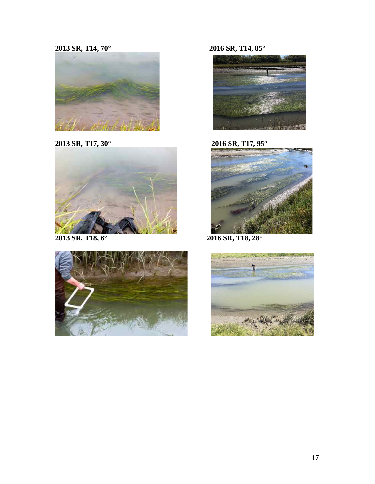# **SR, T14, 70° 2016 SR, T14, 85°**









**SR, T17, 30° 2016 SR, T17, 95°**



**SR, T18, 6° 2016 SR, T18, 28°**

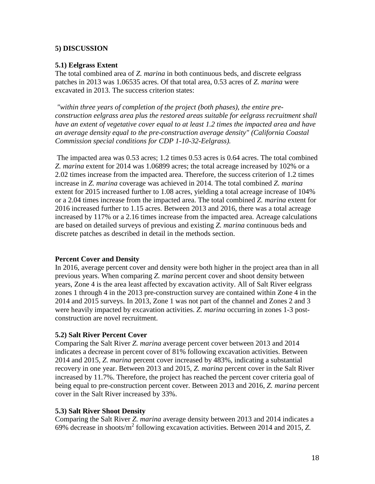### **5) DISCUSSION**

#### **5.1) Eelgrass Extent**

The total combined area of *Z. marina* in both continuous beds, and discrete eelgrass patches in 2013 was 1.06535 acres. Of that total area, 0.53 acres of *Z. marina* were excavated in 2013. The success criterion states:

*"within three years of completion of the project (both phases), the entire preconstruction eelgrass area plus the restored areas suitable for eelgrass recruitment shall have an extent of vegetative cover equal to at least 1.2 times the impacted area and have an average density equal to the pre-construction average density" (California Coastal Commission special conditions for CDP 1-10-32-Eelgrass).*

The impacted area was 0.53 acres; 1.2 times 0.53 acres is 0.64 acres. The total combined *Z. marina* extent for 2014 was 1.06899 acres; the total acreage increased by 102% or a 2.02 times increase from the impacted area. Therefore, the success criterion of 1.2 times increase in *Z. marina* coverage was achieved in 2014. The total combined *Z. marina*  extent for 2015 increased further to 1.08 acres, yielding a total acreage increase of 104% or a 2.04 times increase from the impacted area. The total combined *Z. marina* extent for 2016 increased further to 1.15 acres. Between 2013 and 2016, there was a total acreage increased by 117% or a 2.16 times increase from the impacted area. Acreage calculations are based on detailed surveys of previous and existing *Z. marina* continuous beds and discrete patches as described in detail in the methods section.

#### **Percent Cover and Density**

In 2016, average percent cover and density were both higher in the project area than in all previous years. When comparing *Z. marina* percent cover and shoot density between years, Zone 4 is the area least affected by excavation activity. All of Salt River eelgrass zones 1 through 4 in the 2013 pre-construction survey are contained within Zone 4 in the 2014 and 2015 surveys. In 2013, Zone 1 was not part of the channel and Zones 2 and 3 were heavily impacted by excavation activities. *Z. marina* occurring in zones 1-3 postconstruction are novel recruitment.

#### **5.2) Salt River Percent Cover**

Comparing the Salt River *Z. marina* average percent cover between 2013 and 2014 indicates a decrease in percent cover of 81% following excavation activities. Between 2014 and 2015, *Z. marina* percent cover increased by 483%, indicating a substantial recovery in one year. Between 2013 and 2015, *Z. marina* percent cover in the Salt River increased by 11.7%. Therefore, the project has reached the percent cover criteria goal of being equal to pre-construction percent cover. Between 2013 and 2016, *Z. marina* percent cover in the Salt River increased by 33%.

#### **5.3) Salt River Shoot Density**

Comparing the Salt River *Z. marina* average density between 2013 and 2014 indicates a 69% decrease in shoots/m<sup>2</sup> following excavation activities. Between 2014 and 2015, *Z.*